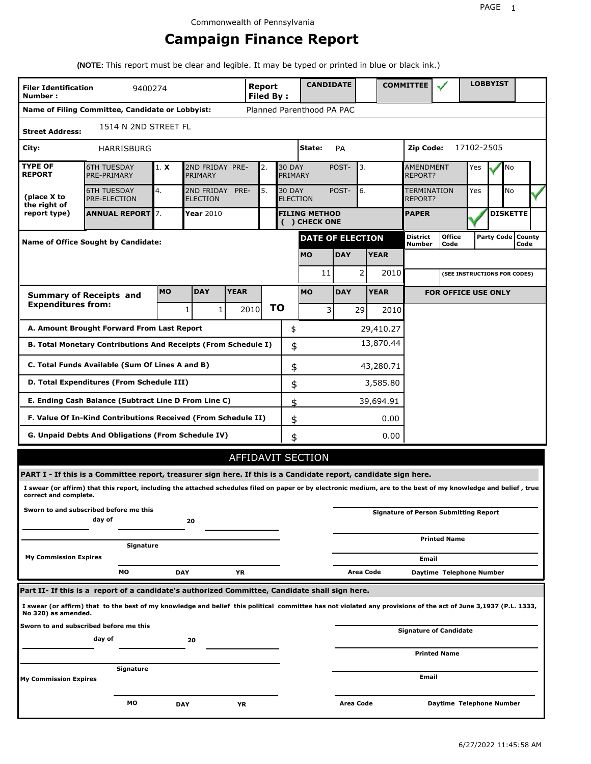# **Campaign Finance Report**

**(NOTE:** This report must be clear and legible. It may be typed or printed in blue or black ink.)

| <b>Filer Identification</b><br>Number: | 9400274                                                                                                                                                         |            |                               |             | Report<br><b>Filed By:</b> |    |                          | <b>CANDIDATE</b>                      |            |           |             | <b>COMMITTEE</b>            |                                              |            | <b>LOBBYIST</b> |                             |  |
|----------------------------------------|-----------------------------------------------------------------------------------------------------------------------------------------------------------------|------------|-------------------------------|-------------|----------------------------|----|--------------------------|---------------------------------------|------------|-----------|-------------|-----------------------------|----------------------------------------------|------------|-----------------|-----------------------------|--|
|                                        | Name of Filing Committee, Candidate or Lobbyist:                                                                                                                |            |                               |             |                            |    |                          | Planned Parenthood PA PAC             |            |           |             |                             |                                              |            |                 |                             |  |
| <b>Street Address:</b>                 | 1514 N 2ND STREET FL                                                                                                                                            |            |                               |             |                            |    |                          |                                       |            |           |             |                             |                                              |            |                 |                             |  |
| City:                                  | <b>HARRISBURG</b>                                                                                                                                               |            |                               |             |                            |    |                          | State:                                | PA         |           |             | Zip Code:                   |                                              | 17102-2505 |                 |                             |  |
| <b>TYPE OF</b><br><b>REPORT</b>        | <b>6TH TUESDAY</b><br>PRE-PRIMARY                                                                                                                               | 1. X       | 2ND FRIDAY PRE-<br>PRIMARY    |             | 2.                         |    | <b>30 DAY</b><br>PRIMARY |                                       | POST-      | 3.        |             | <b>AMENDMENT</b><br>REPORT? |                                              | Yes        |                 | No                          |  |
| (place X to<br>the right of            | <b>6TH TUESDAY</b><br><b>PRE-ELECTION</b>                                                                                                                       | 4.         | 2ND FRIDAY<br><b>ELECTION</b> | PRE-        | 5.                         |    | <b>30 DAY</b>            | <b>ELECTION</b>                       | POST-      | 6.        |             | TERMINATION<br>REPORT?      |                                              | Yes        |                 | <b>No</b>                   |  |
| report type)                           | <b>ANNUAL REPORT 7.</b>                                                                                                                                         |            | <b>Year 2010</b>              |             |                            |    |                          | <b>FILING METHOD</b><br>( ) CHECK ONE |            |           |             | <b>PAPER</b>                |                                              |            |                 | <b>DISKETTE</b>             |  |
|                                        | <b>Name of Office Sought by Candidate:</b>                                                                                                                      |            |                               |             |                            |    |                          | <b>DATE OF ELECTION</b>               |            |           |             | District<br>Number          | <b>Office</b><br>Code                        |            |                 | Party Code   County<br>Code |  |
|                                        |                                                                                                                                                                 |            |                               |             |                            |    |                          | <b>MO</b>                             | <b>DAY</b> |           | <b>YEAR</b> |                             |                                              |            |                 |                             |  |
|                                        |                                                                                                                                                                 |            |                               |             |                            |    |                          | 11                                    |            | 2         | 2010        |                             | (SEE INSTRUCTIONS FOR CODES)                 |            |                 |                             |  |
|                                        | <b>Summary of Receipts and</b>                                                                                                                                  | <b>MO</b>  | <b>DAY</b>                    | <b>YEAR</b> |                            |    |                          | <b>MO</b>                             | <b>DAY</b> |           | <b>YEAR</b> |                             | <b>FOR OFFICE USE ONLY</b>                   |            |                 |                             |  |
| <b>Expenditures from:</b>              |                                                                                                                                                                 |            | 1<br>1                        |             | 2010                       | ΤO |                          | 3                                     |            | 29        | 2010        |                             |                                              |            |                 |                             |  |
|                                        | A. Amount Brought Forward From Last Report                                                                                                                      |            |                               |             |                            |    | \$                       |                                       |            |           | 29,410.27   |                             |                                              |            |                 |                             |  |
|                                        | B. Total Monetary Contributions And Receipts (From Schedule I)                                                                                                  |            |                               |             |                            |    | \$                       |                                       |            |           | 13,870.44   |                             |                                              |            |                 |                             |  |
|                                        | C. Total Funds Available (Sum Of Lines A and B)                                                                                                                 |            |                               |             |                            |    | \$                       |                                       |            |           | 43,280.71   |                             |                                              |            |                 |                             |  |
|                                        | D. Total Expenditures (From Schedule III)                                                                                                                       |            |                               |             |                            |    | \$                       |                                       |            |           | 3,585.80    |                             |                                              |            |                 |                             |  |
|                                        | E. Ending Cash Balance (Subtract Line D From Line C)                                                                                                            |            |                               |             |                            |    | \$                       |                                       |            |           | 39,694.91   |                             |                                              |            |                 |                             |  |
|                                        | F. Value Of In-Kind Contributions Received (From Schedule II)                                                                                                   |            |                               |             |                            |    | \$                       |                                       |            |           | 0.00        |                             |                                              |            |                 |                             |  |
|                                        | G. Unpaid Debts And Obligations (From Schedule IV)                                                                                                              |            |                               |             |                            |    | \$                       |                                       |            |           | 0.00        |                             |                                              |            |                 |                             |  |
|                                        |                                                                                                                                                                 |            |                               |             |                            |    |                          | AFFIDAVIT SECTION                     |            |           |             |                             |                                              |            |                 |                             |  |
|                                        | PART I - If this is a Committee report, treasurer sign here. If this is a Candidate report, candidate sign here.                                                |            |                               |             |                            |    |                          |                                       |            |           |             |                             |                                              |            |                 |                             |  |
| correct and complete.                  | I swear (or affirm) that this report, including the attached schedules filed on paper or by electronic medium, are to the best of my knowledge and belief, true |            |                               |             |                            |    |                          |                                       |            |           |             |                             |                                              |            |                 |                             |  |
|                                        | Sworn to and subscribed before me this<br>day of                                                                                                                |            | 20                            |             |                            |    |                          |                                       |            |           |             |                             | <b>Signature of Person Submitting Report</b> |            |                 |                             |  |
|                                        | Signature                                                                                                                                                       |            |                               |             |                            |    |                          |                                       |            |           |             |                             | <b>Printed Name</b>                          |            |                 |                             |  |
| <b>My Commission Expires</b>           |                                                                                                                                                                 |            |                               |             |                            |    |                          |                                       |            |           |             | Email                       |                                              |            |                 |                             |  |
|                                        | МO                                                                                                                                                              | <b>DAY</b> |                               | ΥR          |                            |    |                          |                                       |            | Area Code |             |                             | Daytime Telephone Number                     |            |                 |                             |  |
|                                        | Part II- If this is a report of a candidate's authorized Committee, Candidate shall sign here.                                                                  |            |                               |             |                            |    |                          |                                       |            |           |             |                             |                                              |            |                 |                             |  |
| No 320) as amended.                    | I swear (or affirm) that to the best of my knowledge and belief this political committee has not violated any provisions of the act of June 3,1937 (P.L. 1333,  |            |                               |             |                            |    |                          |                                       |            |           |             |                             |                                              |            |                 |                             |  |
|                                        | Sworn to and subscribed before me this<br>day of                                                                                                                |            | 20                            |             |                            |    |                          |                                       |            |           |             |                             | <b>Signature of Candidate</b>                |            |                 |                             |  |
|                                        |                                                                                                                                                                 |            |                               |             |                            |    |                          |                                       |            |           |             |                             | <b>Printed Name</b>                          |            |                 |                             |  |
| <b>My Commission Expires</b>           | Signature                                                                                                                                                       |            |                               |             |                            |    |                          |                                       |            |           |             | Email                       |                                              |            |                 |                             |  |
|                                        | мо                                                                                                                                                              | <b>DAY</b> |                               | ΥR          |                            |    |                          |                                       | Area Code  |           |             |                             | Daytime Telephone Number                     |            |                 |                             |  |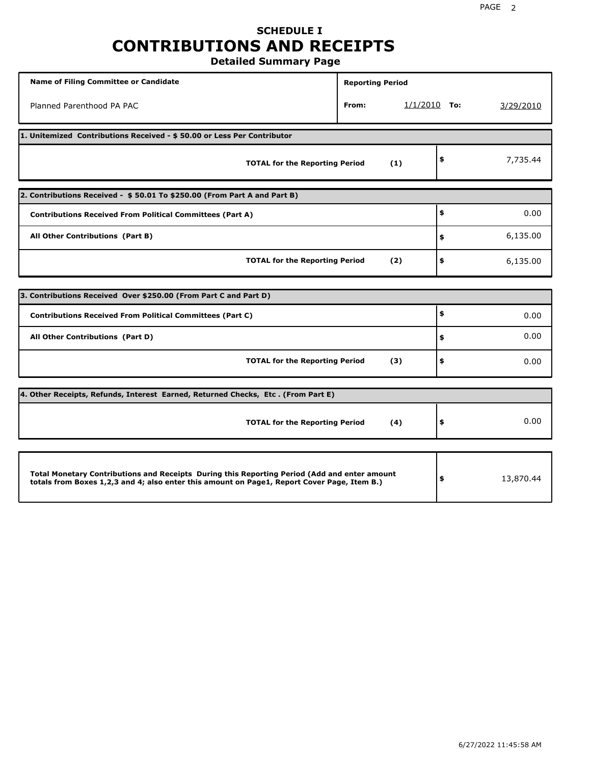# **SCHEDULE I CONTRIBUTIONS AND RECEIPTS**

**Detailed Summary Page**

| <b>Name of Filing Committee or Candidate</b>                                                                                                                                                | <b>Reporting Period</b> |                |                 |
|---------------------------------------------------------------------------------------------------------------------------------------------------------------------------------------------|-------------------------|----------------|-----------------|
| Planned Parenthood PA PAC                                                                                                                                                                   | From:                   | $1/1/2010$ To: | 3/29/2010       |
| 1. Unitemized Contributions Received - \$50.00 or Less Per Contributor                                                                                                                      |                         |                |                 |
| <b>TOTAL for the Reporting Period</b>                                                                                                                                                       |                         | (1)            | \$<br>7,735.44  |
| 2. Contributions Received - \$50.01 To \$250.00 (From Part A and Part B)                                                                                                                    |                         |                |                 |
| <b>Contributions Received From Political Committees (Part A)</b>                                                                                                                            |                         |                | \$<br>0.00      |
| All Other Contributions (Part B)                                                                                                                                                            |                         |                | \$<br>6,135.00  |
| <b>TOTAL for the Reporting Period</b>                                                                                                                                                       |                         | (2)            | \$<br>6,135.00  |
|                                                                                                                                                                                             |                         |                |                 |
| 3. Contributions Received Over \$250.00 (From Part C and Part D)                                                                                                                            |                         |                |                 |
| <b>Contributions Received From Political Committees (Part C)</b>                                                                                                                            |                         |                | \$<br>0.00      |
| All Other Contributions (Part D)                                                                                                                                                            |                         |                | \$<br>0.00      |
| <b>TOTAL for the Reporting Period</b>                                                                                                                                                       |                         | (3)            | \$<br>0.00      |
| [4. Other Receipts, Refunds, Interest Earned, Returned Checks, Etc. (From Part E)                                                                                                           |                         |                |                 |
| <b>TOTAL for the Reporting Period</b>                                                                                                                                                       |                         | (4)            | \$<br>0.00      |
|                                                                                                                                                                                             |                         |                |                 |
| Total Monetary Contributions and Receipts During this Reporting Period (Add and enter amount<br>totals from Boxes 1,2,3 and 4; also enter this amount on Page1, Report Cover Page, Item B.) |                         |                | \$<br>13,870.44 |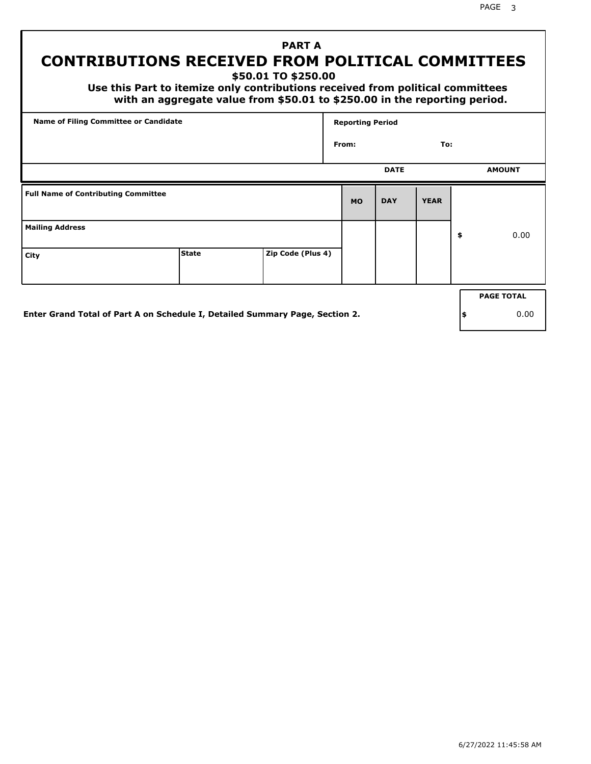PAGE 3

# **PART A CONTRIBUTIONS RECEIVED FROM POLITICAL COMMITTEES**

**\$50.01 TO \$250.00**

 **Use this Part to itemize only contributions received from political committees with an aggregate value from \$50.01 to \$250.00 in the reporting period.**

| From:     | <b>DATE</b> | To:         |                   |
|-----------|-------------|-------------|-------------------|
|           |             |             |                   |
|           |             |             | <b>AMOUNT</b>     |
| <b>MO</b> | <b>DAY</b>  | <b>YEAR</b> |                   |
|           |             |             | \$<br>0.00        |
|           |             |             |                   |
|           |             |             | <b>PAGE TOTAL</b> |
|           |             |             |                   |

**Enter Grand Total of Part A on Schedule I, Detailed Summary Page, Section 2.**

**\$** 0.00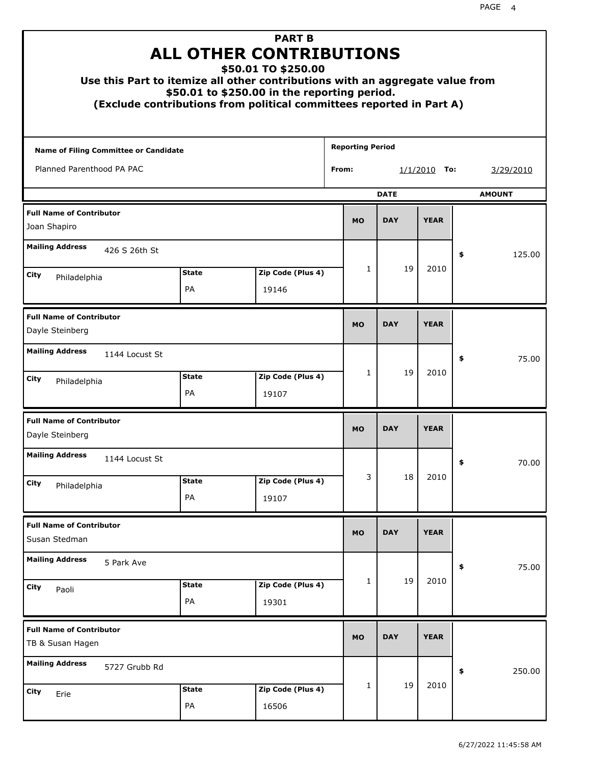| Use this Part to itemize all other contributions with an aggregate value from<br>(Exclude contributions from political committees reported in Part A) |                    | <b>PART B</b><br><b>ALL OTHER CONTRIBUTIONS</b><br>\$50.01 TO \$250.00<br>\$50.01 to \$250.00 in the reporting period. |                         |             |                |               |
|-------------------------------------------------------------------------------------------------------------------------------------------------------|--------------------|------------------------------------------------------------------------------------------------------------------------|-------------------------|-------------|----------------|---------------|
| Name of Filing Committee or Candidate                                                                                                                 |                    |                                                                                                                        | <b>Reporting Period</b> |             |                |               |
| Planned Parenthood PA PAC                                                                                                                             |                    |                                                                                                                        | From:                   |             | $1/1/2010$ To: | 3/29/2010     |
|                                                                                                                                                       |                    |                                                                                                                        |                         | <b>DATE</b> |                | <b>AMOUNT</b> |
| <b>Full Name of Contributor</b><br>Joan Shapiro                                                                                                       |                    |                                                                                                                        | <b>MO</b>               | <b>DAY</b>  | <b>YEAR</b>    |               |
| <b>Mailing Address</b><br>426 S 26th St                                                                                                               |                    |                                                                                                                        |                         |             |                | 125.00<br>\$  |
| City<br>Philadelphia                                                                                                                                  | <b>State</b>       | Zip Code (Plus 4)                                                                                                      | 1                       | 19          | 2010           |               |
|                                                                                                                                                       | PA                 | 19146                                                                                                                  |                         |             |                |               |
| <b>Full Name of Contributor</b><br>Dayle Steinberg                                                                                                    |                    |                                                                                                                        | <b>MO</b>               | <b>DAY</b>  | <b>YEAR</b>    |               |
| <b>Mailing Address</b><br>1144 Locust St                                                                                                              |                    |                                                                                                                        |                         |             |                | \$<br>75.00   |
| City<br>Philadelphia                                                                                                                                  | <b>State</b><br>PA | Zip Code (Plus 4)<br>19107                                                                                             | $\mathbf{1}$            | 19          | 2010           |               |
| <b>Full Name of Contributor</b><br>Dayle Steinberg                                                                                                    |                    |                                                                                                                        | <b>MO</b>               | <b>DAY</b>  | <b>YEAR</b>    |               |
| <b>Mailing Address</b><br>1144 Locust St                                                                                                              |                    |                                                                                                                        |                         |             |                | 70.00<br>≯    |
| City<br>Philadelphia                                                                                                                                  | <b>State</b>       | Zip Code (Plus 4)                                                                                                      | 3                       | 18          | 2010           |               |
|                                                                                                                                                       | PA                 | 19107                                                                                                                  |                         |             |                |               |
| <b>Full Name of Contributor</b><br>Susan Stedman                                                                                                      |                    |                                                                                                                        | <b>MO</b>               | <b>DAY</b>  | <b>YEAR</b>    |               |
| <b>Mailing Address</b><br>5 Park Ave                                                                                                                  |                    |                                                                                                                        |                         |             |                | \$<br>75.00   |
| City<br>Paoli                                                                                                                                         | <b>State</b><br>PA | Zip Code (Plus 4)<br>19301                                                                                             | 1                       | 19          | 2010           |               |
| <b>Full Name of Contributor</b><br>TB & Susan Hagen                                                                                                   |                    |                                                                                                                        | <b>MO</b>               | <b>DAY</b>  | <b>YEAR</b>    |               |
| <b>Mailing Address</b><br>5727 Grubb Rd                                                                                                               |                    |                                                                                                                        |                         |             |                | \$<br>250.00  |
| City<br>Erie                                                                                                                                          | <b>State</b><br>PA | Zip Code (Plus 4)<br>16506                                                                                             | 1                       | 19          | 2010           |               |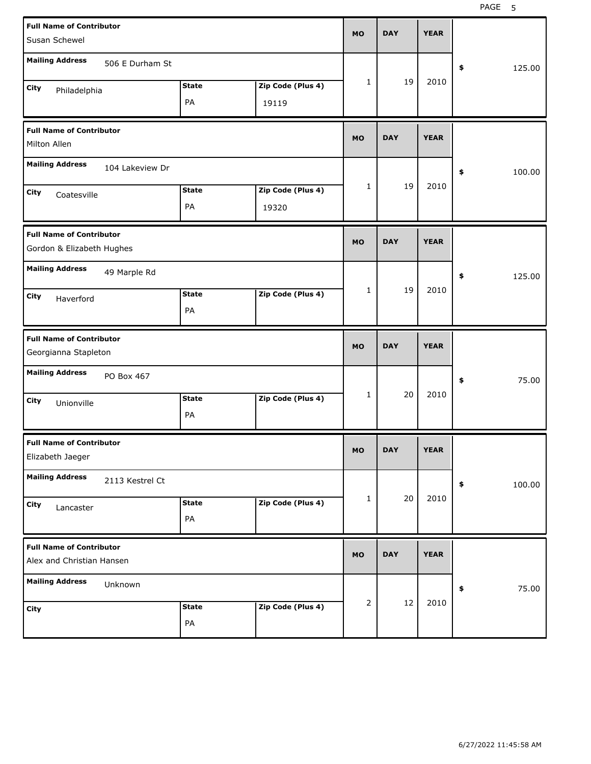| <b>Full Name of Contributor</b><br>Susan Schewel             |                 |                    |                            | <b>MO</b>    | <b>DAY</b> | <b>YEAR</b> |              |
|--------------------------------------------------------------|-----------------|--------------------|----------------------------|--------------|------------|-------------|--------------|
| <b>Mailing Address</b>                                       | 506 E Durham St |                    |                            |              |            |             | 125.00<br>\$ |
| City<br>Philadelphia                                         |                 | <b>State</b><br>PA | Zip Code (Plus 4)<br>19119 | 1            | 19         | 2010        |              |
| <b>Full Name of Contributor</b><br>Milton Allen              |                 |                    |                            | <b>MO</b>    | <b>DAY</b> | <b>YEAR</b> |              |
| <b>Mailing Address</b>                                       | 104 Lakeview Dr |                    |                            |              |            |             | 100.00<br>\$ |
| City<br>Coatesville                                          |                 | <b>State</b><br>PA | Zip Code (Plus 4)<br>19320 | 1            | 19         | 2010        |              |
| <b>Full Name of Contributor</b><br>Gordon & Elizabeth Hughes |                 |                    |                            | <b>MO</b>    | <b>DAY</b> | <b>YEAR</b> |              |
| <b>Mailing Address</b>                                       | 49 Marple Rd    |                    |                            |              |            |             | 125.00<br>\$ |
| City<br>Haverford                                            |                 | <b>State</b><br>PA | Zip Code (Plus 4)          | $\mathbf{1}$ | 19         | 2010        |              |
|                                                              |                 |                    |                            |              |            |             |              |
| <b>Full Name of Contributor</b><br>Georgianna Stapleton      |                 |                    |                            | <b>MO</b>    | <b>DAY</b> | <b>YEAR</b> |              |
| <b>Mailing Address</b>                                       | PO Box 467      |                    |                            |              |            |             | 75.00<br>\$  |
| City<br>Unionville                                           |                 | <b>State</b><br>PA | Zip Code (Plus 4)          | 1            | 20         | 2010        |              |
| <b>Full Name of Contributor</b><br>Elizabeth Jaeger          |                 |                    |                            | МO           | <b>DAY</b> | <b>YEAR</b> |              |
| <b>Mailing Address</b>                                       | 2113 Kestrel Ct |                    |                            |              |            |             | 100.00<br>\$ |
| City<br>Lancaster                                            |                 | <b>State</b><br>PA | Zip Code (Plus 4)          | 1            | 20         | 2010        |              |
| <b>Full Name of Contributor</b><br>Alex and Christian Hansen |                 |                    |                            | <b>MO</b>    | <b>DAY</b> | <b>YEAR</b> |              |
| <b>Mailing Address</b>                                       | Unknown         |                    |                            |              | 12         | 2010        | 75.00<br>\$  |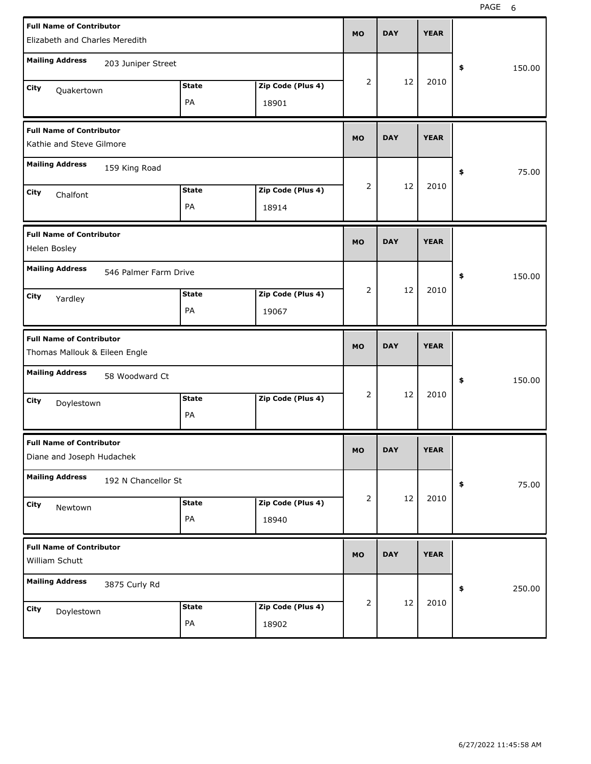| <b>Full Name of Contributor</b><br>Elizabeth and Charles Meredith |                                       |                            | <b>MO</b>      | <b>DAY</b> | <b>YEAR</b> |              |
|-------------------------------------------------------------------|---------------------------------------|----------------------------|----------------|------------|-------------|--------------|
| <b>Mailing Address</b><br>203 Juniper Street                      |                                       |                            |                |            |             | 150.00<br>\$ |
| City<br>Quakertown                                                | <b>State</b><br>PA                    | Zip Code (Plus 4)<br>18901 | $\overline{2}$ | 12         | 2010        |              |
| <b>Full Name of Contributor</b><br>Kathie and Steve Gilmore       |                                       |                            | <b>MO</b>      | <b>DAY</b> | <b>YEAR</b> |              |
| <b>Mailing Address</b><br>159 King Road                           |                                       |                            |                |            |             | 75.00<br>\$  |
| City<br>Chalfont                                                  | <b>State</b><br>PA                    | Zip Code (Plus 4)<br>18914 | $\overline{2}$ | 12         | 2010        |              |
| <b>Full Name of Contributor</b><br>Helen Bosley                   |                                       |                            | <b>MO</b>      | <b>DAY</b> | <b>YEAR</b> |              |
| <b>Mailing Address</b>                                            | 546 Palmer Farm Drive<br><b>State</b> | Zip Code (Plus 4)          | $\overline{2}$ | 12         | 2010        | 150.00<br>\$ |
| City<br>Yardley                                                   | PA                                    | 19067                      |                |            |             |              |
|                                                                   |                                       |                            |                |            |             |              |
| <b>Full Name of Contributor</b><br>Thomas Mallouk & Eileen Engle  |                                       |                            | <b>MO</b>      | <b>DAY</b> | <b>YEAR</b> |              |
| <b>Mailing Address</b><br>58 Woodward Ct                          |                                       |                            |                |            |             | \$<br>150.00 |
| City<br>Doylestown                                                | <b>State</b><br>PA                    | Zip Code (Plus 4)          | 2              | 12         | 2010        |              |
| <b>Full Name of Contributor</b><br>Diane and Joseph Hudachek      |                                       |                            | MO             | <b>DAY</b> | <b>YEAR</b> |              |
| <b>Mailing Address</b>                                            | 192 N Chancellor St                   |                            |                |            |             | 75.00<br>\$  |
| City<br>Newtown                                                   | <b>State</b><br>PA                    | Zip Code (Plus 4)<br>18940 | $\overline{2}$ | 12         | 2010        |              |
| <b>Full Name of Contributor</b><br>William Schutt                 |                                       |                            | <b>MO</b>      | <b>DAY</b> | <b>YEAR</b> |              |
| <b>Mailing Address</b><br>3875 Curly Rd                           |                                       |                            | 2              | 12         | 2010        | 250.00<br>\$ |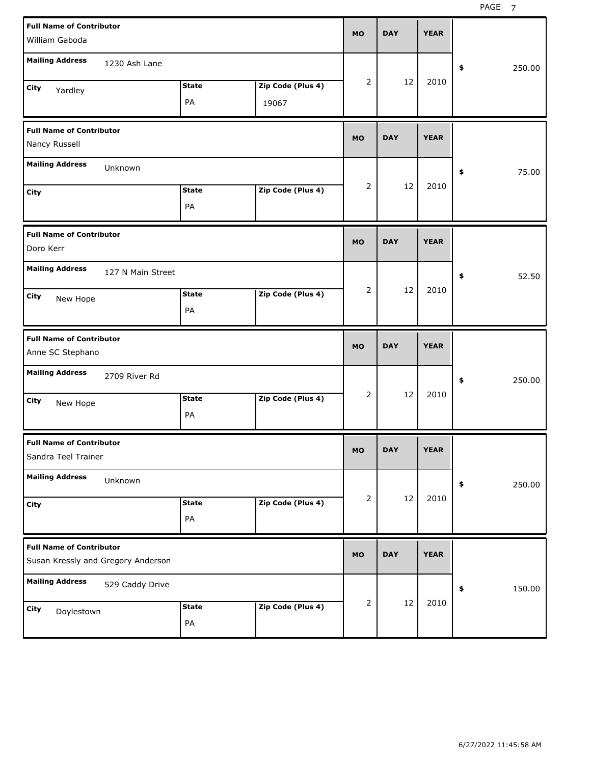| <b>Full Name of Contributor</b><br>William Gaboda                     | <b>MO</b> | <b>DAY</b> | <b>YEAR</b> |              |
|-----------------------------------------------------------------------|-----------|------------|-------------|--------------|
| <b>Mailing Address</b><br>1230 Ash Lane                               |           |            |             | 250.00<br>\$ |
| Zip Code (Plus 4)<br><b>State</b><br>City<br>Yardley<br>PA<br>19067   | 2         | 12         | 2010        |              |
| <b>Full Name of Contributor</b><br>Nancy Russell                      | <b>MO</b> | <b>DAY</b> | <b>YEAR</b> |              |
| <b>Mailing Address</b><br>Unknown                                     |           |            |             | 75.00<br>\$  |
| Zip Code (Plus 4)<br><b>State</b><br>City<br>PA                       | 2         | 12         | 2010        |              |
| <b>Full Name of Contributor</b><br>Doro Kerr                          | <b>MO</b> | <b>DAY</b> | <b>YEAR</b> |              |
| <b>Mailing Address</b><br>127 N Main Street                           |           |            |             | 52.50<br>\$  |
| Zip Code (Plus 4)<br><b>State</b><br>City<br>New Hope<br>PA           | 2         | 12         | 2010        |              |
|                                                                       |           |            |             |              |
| <b>Full Name of Contributor</b><br>Anne SC Stephano                   | <b>MO</b> | <b>DAY</b> | <b>YEAR</b> |              |
| <b>Mailing Address</b><br>2709 River Rd                               |           |            |             | 250.00<br>\$ |
| Zip Code (Plus 4)<br><b>State</b><br>City<br>New Hope<br>PA           | 2         | 12         | 2010        |              |
| <b>Full Name of Contributor</b><br>Sandra Teel Trainer                | <b>MO</b> | <b>DAY</b> | <b>YEAR</b> |              |
| <b>Mailing Address</b><br>Unknown                                     |           |            |             | 250.00<br>\$ |
| Zip Code (Plus 4)<br><b>State</b><br>City<br>PA                       | 2         | 12         | 2010        |              |
| <b>Full Name of Contributor</b><br>Susan Kressly and Gregory Anderson | <b>MO</b> | <b>DAY</b> | <b>YEAR</b> |              |
| <b>Mailing Address</b><br>529 Caddy Drive                             | 2         | 12         | 2010        | 150.00<br>\$ |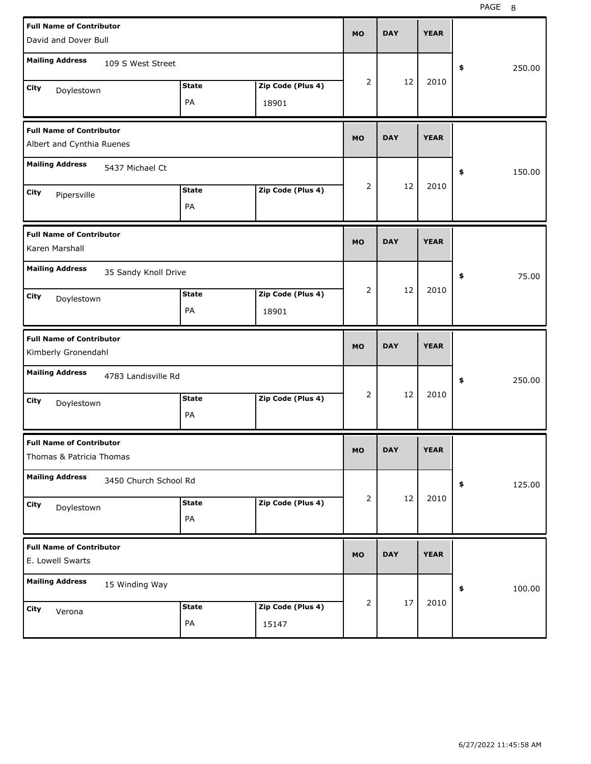| <b>Full Name of Contributor</b><br>David and Dover Bull                | <b>MO</b> | <b>DAY</b> | <b>YEAR</b> |              |
|------------------------------------------------------------------------|-----------|------------|-------------|--------------|
| <b>Mailing Address</b><br>109 S West Street                            |           |            |             | \$<br>250.00 |
| Zip Code (Plus 4)<br><b>State</b><br>City<br>Doylestown<br>PA<br>18901 | 2         | 12         | 2010        |              |
| <b>Full Name of Contributor</b><br>Albert and Cynthia Ruenes           | <b>MO</b> | <b>DAY</b> | <b>YEAR</b> |              |
| <b>Mailing Address</b><br>5437 Michael Ct                              |           |            |             | \$<br>150.00 |
| Zip Code (Plus 4)<br><b>State</b><br>City<br>Pipersville<br>PA         | 2         | 12         | 2010        |              |
| <b>Full Name of Contributor</b><br>Karen Marshall                      | <b>MO</b> | <b>DAY</b> | <b>YEAR</b> |              |
| <b>Mailing Address</b><br>35 Sandy Knoll Drive                         |           |            |             | 75.00<br>\$  |
| Zip Code (Plus 4)<br><b>State</b><br>City<br>Doylestown<br>PA<br>18901 | 2         | 12         | 2010        |              |
|                                                                        |           |            |             |              |
| <b>Full Name of Contributor</b><br>Kimberly Gronendahl                 | <b>MO</b> | <b>DAY</b> | <b>YEAR</b> |              |
| <b>Mailing Address</b><br>4783 Landisville Rd                          |           |            |             | \$<br>250.00 |
| <b>State</b><br>Zip Code (Plus 4)<br>City<br>Doylestown<br>PA          | 2         | 12         | 2010        |              |
| <b>Full Name of Contributor</b><br>Thomas & Patricia Thomas            | мo        | <b>DAY</b> | <b>YEAR</b> |              |
| <b>Mailing Address</b><br>3450 Church School Rd                        |           |            |             | \$<br>125.00 |
| Zip Code (Plus 4)<br><b>State</b><br>City<br>Doylestown<br>PA          | 2         | 12         | 2010        |              |
| <b>Full Name of Contributor</b><br>E. Lowell Swarts                    | <b>MO</b> | <b>DAY</b> | <b>YEAR</b> |              |
| <b>Mailing Address</b><br>15 Winding Way                               |           | $17\,$     | 2010        | 100.00<br>\$ |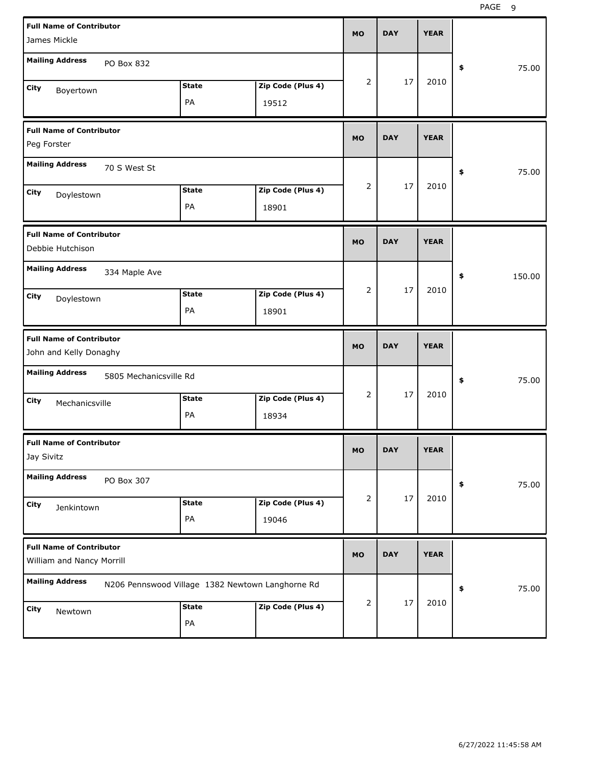| <b>Full Name of Contributor</b><br>James Mickle              |                                                  |                   | <b>MO</b>      | <b>DAY</b> | <b>YEAR</b> |              |
|--------------------------------------------------------------|--------------------------------------------------|-------------------|----------------|------------|-------------|--------------|
| <b>Mailing Address</b><br>PO Box 832                         |                                                  |                   |                |            |             | \$<br>75.00  |
| City<br>Boyertown                                            | <b>State</b>                                     | Zip Code (Plus 4) | $\overline{2}$ | 17         | 2010        |              |
|                                                              | PA                                               | 19512             |                |            |             |              |
| <b>Full Name of Contributor</b><br>Peg Forster               |                                                  |                   | <b>MO</b>      | <b>DAY</b> | <b>YEAR</b> |              |
| <b>Mailing Address</b><br>70 S West St                       |                                                  |                   |                |            |             | 75.00<br>\$  |
| City<br>Doylestown                                           | <b>State</b>                                     | Zip Code (Plus 4) | $\overline{2}$ | 17         | 2010        |              |
|                                                              | PA                                               | 18901             |                |            |             |              |
| <b>Full Name of Contributor</b><br>Debbie Hutchison          |                                                  |                   | <b>MO</b>      | <b>DAY</b> | <b>YEAR</b> |              |
| <b>Mailing Address</b><br>334 Maple Ave                      |                                                  |                   |                |            |             | \$<br>150.00 |
| City<br>Doylestown                                           | <b>State</b>                                     | Zip Code (Plus 4) | $\overline{2}$ | 17         | 2010        |              |
|                                                              | PA                                               | 18901             |                |            |             |              |
|                                                              |                                                  |                   |                |            |             |              |
| <b>Full Name of Contributor</b><br>John and Kelly Donaghy    |                                                  |                   | <b>MO</b>      | <b>DAY</b> | <b>YEAR</b> |              |
| <b>Mailing Address</b><br>5805 Mechanicsville Rd             |                                                  |                   |                |            |             | 75.00<br>\$  |
| City                                                         | <b>State</b>                                     | Zip Code (Plus 4) | $\overline{2}$ | 17         | 2010        |              |
| Mechanicsville                                               | PA                                               | 18934             |                |            |             |              |
| <b>Full Name of Contributor</b><br>Jay Sivitz                |                                                  |                   | МO             | DAY        | <b>YEAR</b> |              |
| <b>Mailing Address</b><br>PO Box 307                         |                                                  |                   |                |            |             | 75.00<br>\$  |
| City                                                         | <b>State</b>                                     | Zip Code (Plus 4) | 2              | 17         | 2010        |              |
| Jenkintown                                                   | PA                                               | 19046             |                |            |             |              |
| <b>Full Name of Contributor</b><br>William and Nancy Morrill |                                                  |                   | <b>MO</b>      | <b>DAY</b> | <b>YEAR</b> |              |
| <b>Mailing Address</b>                                       | N206 Pennswood Village 1382 Newtown Langhorne Rd |                   |                |            |             | 75.00<br>\$  |
| City<br>Newtown                                              | <b>State</b>                                     | Zip Code (Plus 4) | 2              | 17         | 2010        |              |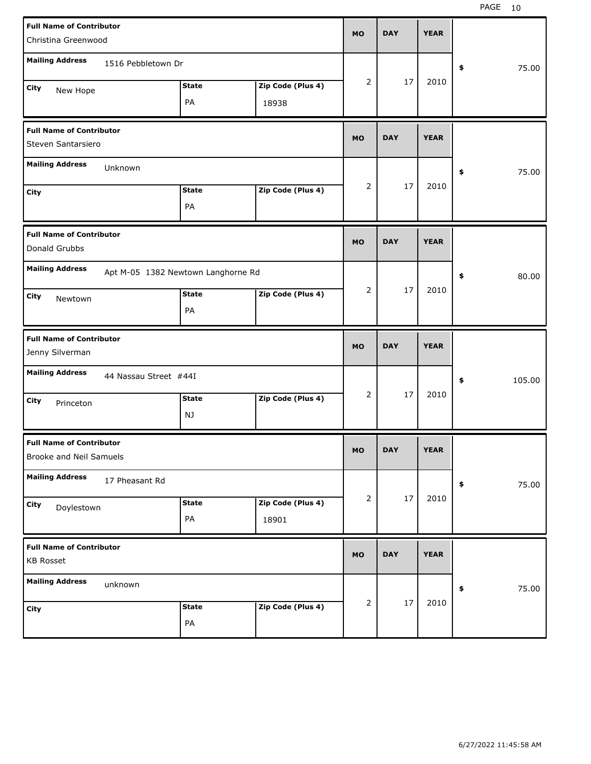| <b>Full Name of Contributor</b><br>Christina Greenwood     |                       |                                    |                            | <b>MO</b> | <b>DAY</b> | <b>YEAR</b> |              |
|------------------------------------------------------------|-----------------------|------------------------------------|----------------------------|-----------|------------|-------------|--------------|
| <b>Mailing Address</b>                                     | 1516 Pebbletown Dr    |                                    |                            |           |            |             | \$<br>75.00  |
| City<br>New Hope                                           |                       | <b>State</b><br>PA                 | Zip Code (Plus 4)<br>18938 | 2         | 17         | 2010        |              |
| <b>Full Name of Contributor</b><br>Steven Santarsiero      |                       |                                    |                            | <b>MO</b> | <b>DAY</b> | <b>YEAR</b> |              |
| <b>Mailing Address</b>                                     | Unknown               |                                    |                            |           |            |             | \$<br>75.00  |
| City                                                       |                       | <b>State</b><br>PA                 | Zip Code (Plus 4)          | 2         | 17         | 2010        |              |
| <b>Full Name of Contributor</b><br>Donald Grubbs           |                       |                                    |                            | <b>MO</b> | <b>DAY</b> | <b>YEAR</b> |              |
| <b>Mailing Address</b>                                     |                       | Apt M-05 1382 Newtown Langhorne Rd |                            |           |            |             | \$<br>80.00  |
| City<br>Newtown                                            |                       | <b>State</b><br>PA                 | Zip Code (Plus 4)          | 2         | 17         | 2010        |              |
|                                                            |                       |                                    |                            |           |            |             |              |
| <b>Full Name of Contributor</b><br>Jenny Silverman         |                       |                                    |                            | <b>MO</b> | <b>DAY</b> | <b>YEAR</b> |              |
| <b>Mailing Address</b>                                     | 44 Nassau Street #44I |                                    |                            |           |            |             | \$<br>105.00 |
| City<br>Princeton                                          |                       | <b>State</b><br>NJ                 | Zip Code (Plus 4)          | 2         | 17         | 2010        |              |
| <b>Full Name of Contributor</b><br>Brooke and Neil Samuels |                       |                                    |                            | <b>MO</b> | <b>DAY</b> | <b>YEAR</b> |              |
| <b>Mailing Address</b>                                     | 17 Pheasant Rd        |                                    |                            |           |            |             | 75.00<br>\$  |
| City<br>Doylestown                                         |                       | <b>State</b><br>PA                 | Zip Code (Plus 4)<br>18901 | 2         | 17         | 2010        |              |
| <b>Full Name of Contributor</b><br><b>KB Rosset</b>        |                       |                                    |                            | <b>MO</b> | <b>DAY</b> | <b>YEAR</b> |              |
| <b>Mailing Address</b>                                     | unknown               |                                    |                            | 2         | $17\,$     | 2010        | 75.00<br>\$  |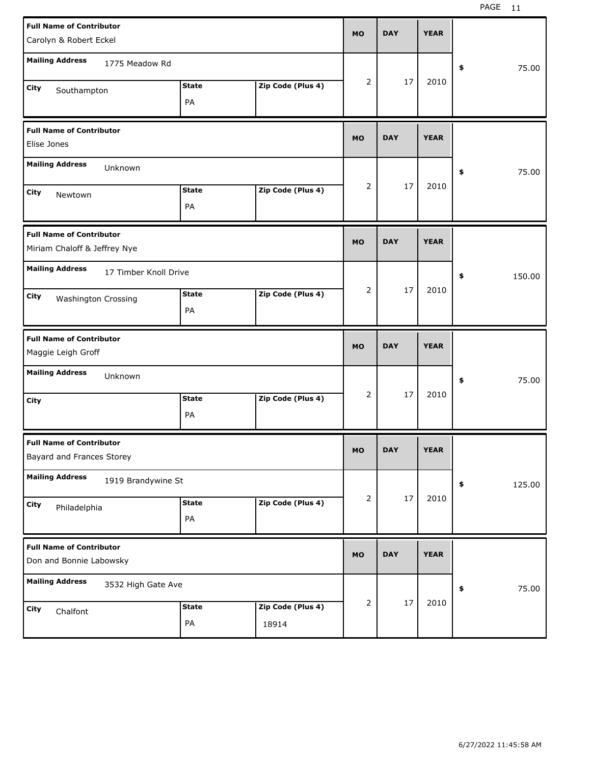| <b>Full Name of Contributor</b><br>Carolyn & Robert Eckel                            | <b>MO</b>      | <b>DAY</b> | <b>YEAR</b> |              |
|--------------------------------------------------------------------------------------|----------------|------------|-------------|--------------|
| <b>Mailing Address</b><br>1775 Meadow Rd                                             |                |            |             | 75.00<br>\$  |
| Zip Code (Plus 4)<br><b>State</b><br><b>City</b><br>Southampton<br>PA                | $\overline{2}$ | 17         | 2010        |              |
| <b>Full Name of Contributor</b><br>Elise Jones                                       | <b>MO</b>      | <b>DAY</b> | <b>YEAR</b> |              |
| <b>Mailing Address</b><br>Unknown                                                    |                |            |             | 75.00<br>\$  |
| Zip Code (Plus 4)<br><b>State</b><br><b>City</b><br>Newtown<br>PA                    | $\overline{2}$ | 17         | 2010        |              |
| <b>Full Name of Contributor</b><br>Miriam Chaloff & Jeffrey Nye                      | <b>MO</b>      | <b>DAY</b> | <b>YEAR</b> |              |
| <b>Mailing Address</b><br>17 Timber Knoll Drive                                      |                |            |             | \$<br>150.00 |
| Zip Code (Plus 4)<br><b>State</b><br><b>City</b><br><b>Washington Crossing</b><br>PA | $\overline{2}$ | 17         | 2010        |              |
|                                                                                      |                |            |             |              |
| <b>Full Name of Contributor</b><br>Maggie Leigh Groff                                | <b>MO</b>      | <b>DAY</b> | <b>YEAR</b> |              |
| <b>Mailing Address</b><br>Unknown                                                    |                |            |             | 75.00<br>\$  |
| Zip Code (Plus 4)<br><b>State</b><br><b>City</b><br>PA                               | $\overline{2}$ | 17         | 2010        |              |
| <b>Full Name of Contributor</b><br>Bayard and Frances Storey                         | <b>MO</b>      | <b>DAY</b> | <b>YEAR</b> |              |
| <b>Mailing Address</b><br>1919 Brandywine St                                         |                |            |             | \$<br>125.00 |
| Zip Code (Plus 4)<br><b>State</b><br>City<br>Philadelphia<br>PA                      | 2              | 17         | 2010        |              |
| <b>Full Name of Contributor</b><br>Don and Bonnie Labowsky                           | <b>MO</b>      | <b>DAY</b> | <b>YEAR</b> |              |
| <b>Mailing Address</b><br>3532 High Gate Ave                                         | 2              | $17\,$     | 2010        | 75.00<br>\$  |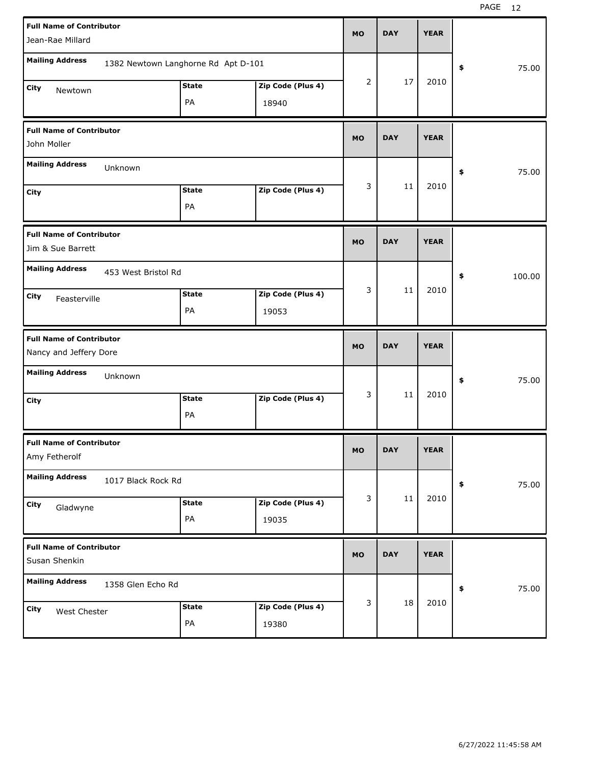| <b>Full Name of Contributor</b><br>Jean-Rae Millard       |                                     |                            | <b>MO</b>      | <b>DAY</b> | <b>YEAR</b> |                     |
|-----------------------------------------------------------|-------------------------------------|----------------------------|----------------|------------|-------------|---------------------|
| <b>Mailing Address</b>                                    | 1382 Newtown Langhorne Rd Apt D-101 |                            |                |            |             | 75.00<br>\$         |
| City<br>Newtown                                           | <b>State</b><br>PA                  | Zip Code (Plus 4)<br>18940 | $\overline{2}$ | 17         | 2010        |                     |
| <b>Full Name of Contributor</b><br>John Moller            |                                     |                            | <b>MO</b>      | <b>DAY</b> | <b>YEAR</b> |                     |
| <b>Mailing Address</b><br>Unknown                         |                                     |                            |                |            |             | 75.00<br>\$         |
| City                                                      | <b>State</b><br>PA                  | Zip Code (Plus 4)          | 3              | 11         | 2010        |                     |
| <b>Full Name of Contributor</b><br>Jim & Sue Barrett      |                                     |                            | <b>MO</b>      | <b>DAY</b> | <b>YEAR</b> |                     |
| <b>Mailing Address</b><br>453 West Bristol Rd             |                                     |                            |                |            |             | 100.00<br>\$        |
| City<br>Feasterville                                      | <b>State</b><br>PA                  | Zip Code (Plus 4)<br>19053 | 3              | 11         | 2010        |                     |
|                                                           |                                     |                            |                |            |             |                     |
| <b>Full Name of Contributor</b><br>Nancy and Jeffery Dore |                                     |                            | <b>MO</b>      | <b>DAY</b> | <b>YEAR</b> |                     |
| <b>Mailing Address</b><br>Unknown                         |                                     |                            |                |            |             | 75.00<br>\$         |
| City                                                      | <b>State</b><br>PA                  | Zip Code (Plus 4)          | 3              | 11         | 2010        |                     |
| <b>Full Name of Contributor</b><br>Amy Fetherolf          |                                     |                            | МO             | <b>DAY</b> | <b>YEAR</b> |                     |
| <b>Mailing Address</b><br>1017 Black Rock Rd              |                                     |                            |                |            |             | 75.00<br>$\pmb{\$}$ |
| City<br>Gladwyne                                          | <b>State</b><br>PA                  | Zip Code (Plus 4)<br>19035 | 3              | $11\,$     | 2010        |                     |
| <b>Full Name of Contributor</b><br>Susan Shenkin          |                                     |                            | <b>MO</b>      | <b>DAY</b> | <b>YEAR</b> |                     |
| <b>Mailing Address</b><br>1358 Glen Echo Rd               |                                     |                            | 3              | 18         | 2010        | 75.00<br>$\pmb{\$}$ |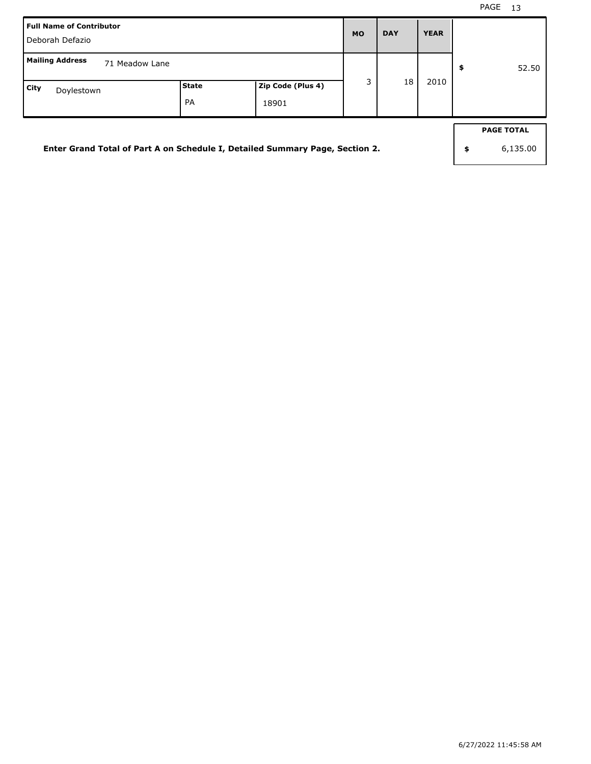| <b>Full Name of Contributor</b><br>Deborah Defazio                                            | <b>MO</b> | <b>DAY</b> | <b>YEAR</b> |    |      |                                     |
|-----------------------------------------------------------------------------------------------|-----------|------------|-------------|----|------|-------------------------------------|
| <b>Mailing Address</b><br>71 Meadow Lane<br>Zip Code (Plus 4)<br> State<br>City<br>Doylestown |           |            |             | 18 | 2010 | \$<br>52.50                         |
| Enter Grand Total of Part A on Schedule I, Detailed Summary Page, Section 2.                  | <b>PA</b> | 18901      |             |    |      | \$<br><b>PAGE TOTAL</b><br>6,135.00 |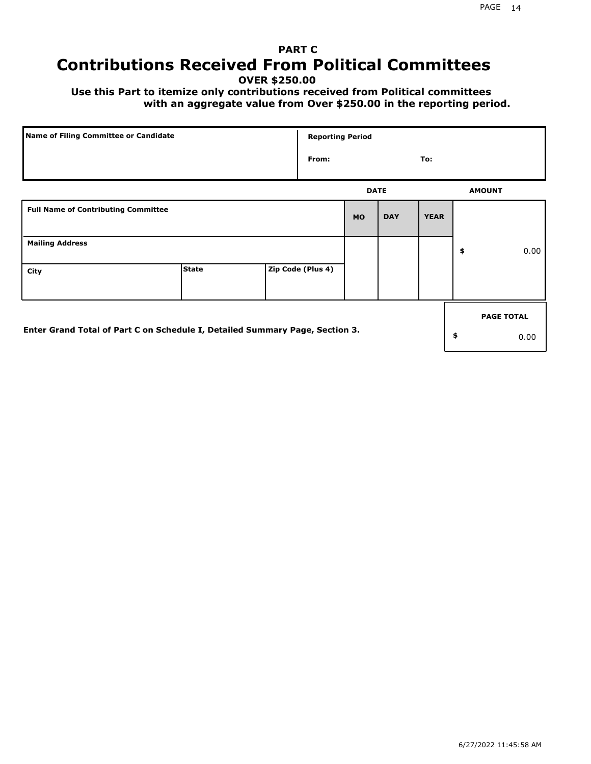# **PART C Contributions Received From Political Committees**

**OVER \$250.00**

 **Use this Part to itemize only contributions received from Political committees with an aggregate value from Over \$250.00 in the reporting period.**

| Name of Filing Committee or Candidate                                        |              |  | <b>Reporting Period</b> |             |            |             |    |                   |
|------------------------------------------------------------------------------|--------------|--|-------------------------|-------------|------------|-------------|----|-------------------|
|                                                                              |              |  | From:                   |             |            | To:         |    |                   |
|                                                                              |              |  |                         | <b>DATE</b> |            |             |    | <b>AMOUNT</b>     |
| <b>Full Name of Contributing Committee</b>                                   |              |  |                         | <b>MO</b>   | <b>DAY</b> | <b>YEAR</b> |    |                   |
| <b>Mailing Address</b>                                                       |              |  |                         |             |            |             | \$ | 0.00              |
| City                                                                         | <b>State</b> |  | Zip Code (Plus 4)       |             |            |             |    |                   |
|                                                                              |              |  |                         |             |            |             |    | <b>PAGE TOTAL</b> |
| Enter Grand Total of Part C on Schedule I, Detailed Summary Page, Section 3. |              |  |                         |             |            |             | \$ | 0.00              |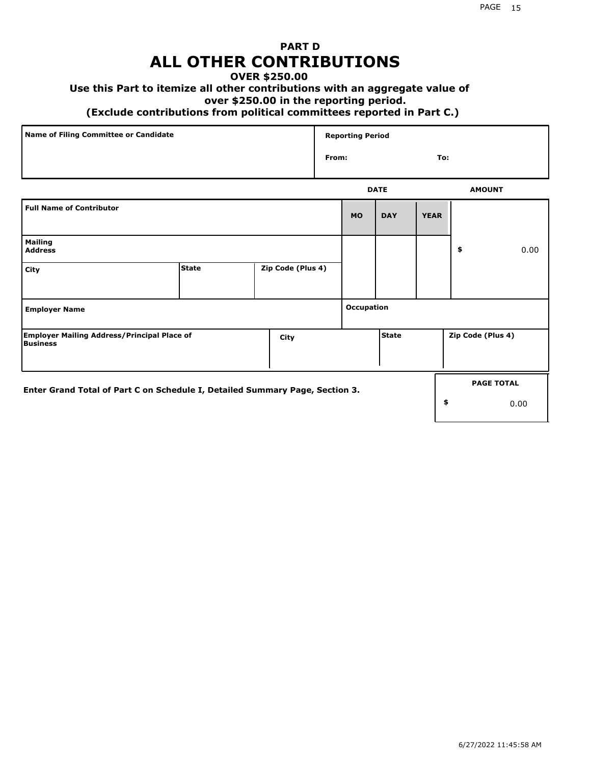## **PART D ALL OTHER CONTRIBUTIONS**

#### **OVER \$250.00**

## **Use this Part to itemize all other contributions with an aggregate value of**

#### **over \$250.00 in the reporting period.**

#### **(Exclude contributions from political committees reported in Part C.)**

| Name of Filing Committee or Candidate | <b>Reporting Period</b> |               |
|---------------------------------------|-------------------------|---------------|
|                                       | From:                   | To:           |
|                                       | <b>DATE</b>             | <b>AMOUNT</b> |

|                                                                              |              |                   |            | ----       |             | <b>APPOVITE</b>   |                   |
|------------------------------------------------------------------------------|--------------|-------------------|------------|------------|-------------|-------------------|-------------------|
| <b>Full Name of Contributor</b>                                              |              |                   | <b>MO</b>  | <b>DAY</b> | <b>YEAR</b> |                   |                   |
| <b>Mailing</b><br><b>Address</b>                                             |              |                   |            |            |             | \$                | 0.00              |
| City                                                                         | <b>State</b> | Zip Code (Plus 4) |            |            |             |                   |                   |
| <b>Employer Name</b>                                                         |              |                   | Occupation |            |             |                   |                   |
| <b>Employer Mailing Address/Principal Place of</b><br>Business               |              | City              |            | l State    |             | Zip Code (Plus 4) |                   |
| Enter Grand Total of Part C on Schedule I, Detailed Summary Page, Section 3. |              |                   |            |            |             |                   | <b>PAGE TOTAL</b> |
|                                                                              |              |                   |            |            | \$          |                   | 0.00              |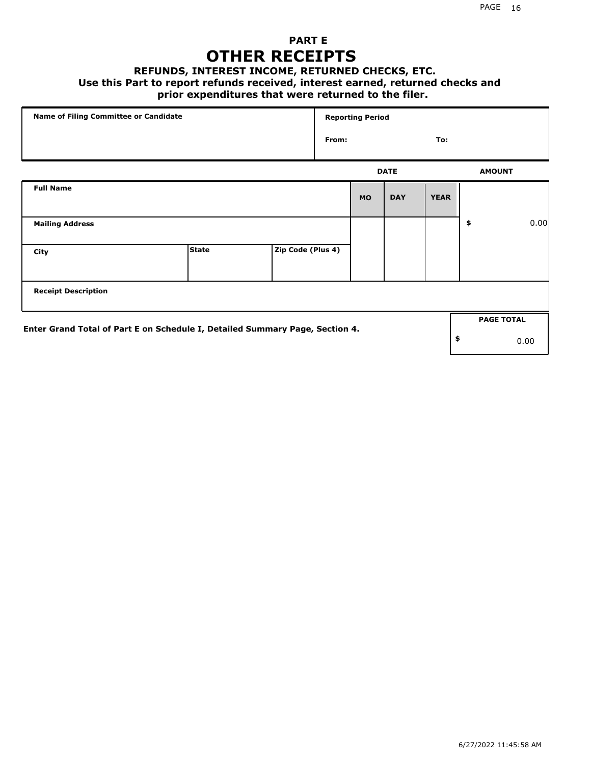## **PART E OTHER RECEIPTS**

#### **REFUNDS, INTEREST INCOME, RETURNED CHECKS, ETC.**

#### **Use this Part to report refunds received, interest earned, returned checks and**

## **prior expenditures that were returned to the filer.**

| Name of Filing Committee or Candidate                                        |              |                   | <b>Reporting Period</b> |              |             |             |    |                   |      |  |
|------------------------------------------------------------------------------|--------------|-------------------|-------------------------|--------------|-------------|-------------|----|-------------------|------|--|
|                                                                              |              |                   |                         | From:<br>To: |             |             |    |                   |      |  |
|                                                                              |              |                   |                         |              | <b>DATE</b> |             |    |                   |      |  |
| <b>Full Name</b>                                                             |              |                   |                         | <b>MO</b>    | <b>DAY</b>  | <b>YEAR</b> |    |                   |      |  |
| <b>Mailing Address</b>                                                       |              |                   |                         |              |             |             | \$ |                   | 0.00 |  |
| City                                                                         | <b>State</b> | Zip Code (Plus 4) |                         |              |             |             |    |                   |      |  |
| <b>Receipt Description</b>                                                   |              |                   |                         |              |             |             |    |                   |      |  |
| Enter Grand Total of Part E on Schedule I, Detailed Summary Page, Section 4. |              |                   |                         |              |             |             |    | <b>PAGE TOTAL</b> |      |  |
|                                                                              |              |                   |                         |              |             |             | \$ |                   | 0.00 |  |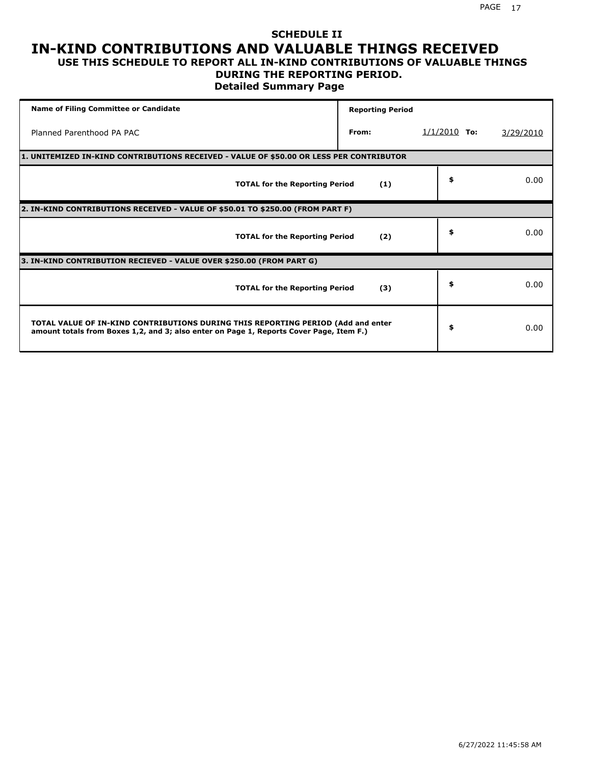# **SCHEDULE II IN-KIND CONTRIBUTIONS AND VALUABLE THINGS RECEIVED**

#### **USE THIS SCHEDULE TO REPORT ALL IN-KIND CONTRIBUTIONS OF VALUABLE THINGS DURING THE REPORTING PERIOD.**

**Detailed Summary Page**

| <b>Name of Filing Committee or Candidate</b>                                                                                                                                | <b>Reporting Period</b> |                |           |
|-----------------------------------------------------------------------------------------------------------------------------------------------------------------------------|-------------------------|----------------|-----------|
| Planned Parenthood PA PAC                                                                                                                                                   | From:                   | $1/1/2010$ To: | 3/29/2010 |
| 1. UNITEMIZED IN-KIND CONTRIBUTIONS RECEIVED - VALUE OF \$50.00 OR LESS PER CONTRIBUTOR                                                                                     |                         |                |           |
| <b>TOTAL for the Reporting Period</b>                                                                                                                                       | (1)                     | \$             | 0.00      |
| 2. IN-KIND CONTRIBUTIONS RECEIVED - VALUE OF \$50.01 TO \$250.00 (FROM PART F)                                                                                              |                         |                |           |
| <b>TOTAL for the Reporting Period</b>                                                                                                                                       | (2)                     | \$             | 0.00      |
| 3. IN-KIND CONTRIBUTION RECIEVED - VALUE OVER \$250.00 (FROM PART G)                                                                                                        |                         |                |           |
| <b>TOTAL for the Reporting Period</b>                                                                                                                                       | (3)                     | \$             | 0.00      |
| TOTAL VALUE OF IN-KIND CONTRIBUTIONS DURING THIS REPORTING PERIOD (Add and enter<br>amount totals from Boxes 1,2, and 3; also enter on Page 1, Reports Cover Page, Item F.) |                         | \$             | 0.00      |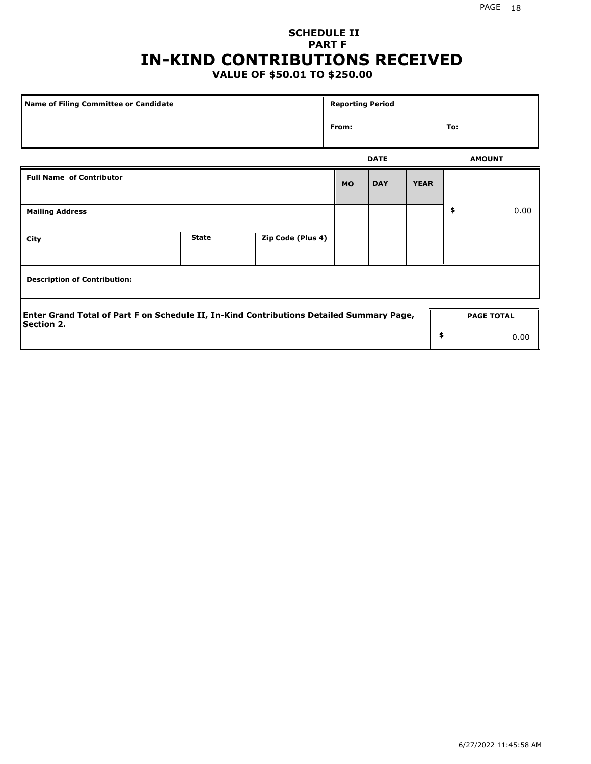## **SCHEDULE II PART F IN-KIND CONTRIBUTIONS RECEIVED**

## **VALUE OF \$50.01 TO \$250.00**

| <b>Name of Filing Committee or Candidate</b>                                                                  |              |                   | <b>Reporting Period</b> |               |             |                   |      |
|---------------------------------------------------------------------------------------------------------------|--------------|-------------------|-------------------------|---------------|-------------|-------------------|------|
| From:                                                                                                         |              |                   |                         |               |             | To:               |      |
|                                                                                                               | <b>DATE</b>  |                   |                         | <b>AMOUNT</b> |             |                   |      |
| <b>Full Name of Contributor</b>                                                                               |              |                   | <b>MO</b>               | <b>DAY</b>    | <b>YEAR</b> |                   |      |
| <b>Mailing Address</b>                                                                                        |              |                   |                         |               |             | \$                | 0.00 |
| City                                                                                                          | <b>State</b> | Zip Code (Plus 4) |                         |               |             |                   |      |
| <b>Description of Contribution:</b>                                                                           |              |                   |                         |               |             |                   |      |
| Enter Grand Total of Part F on Schedule II, In-Kind Contributions Detailed Summary Page,<br><b>Section 2.</b> |              |                   |                         |               |             | <b>PAGE TOTAL</b> |      |
|                                                                                                               |              |                   |                         |               | \$          |                   | 0.00 |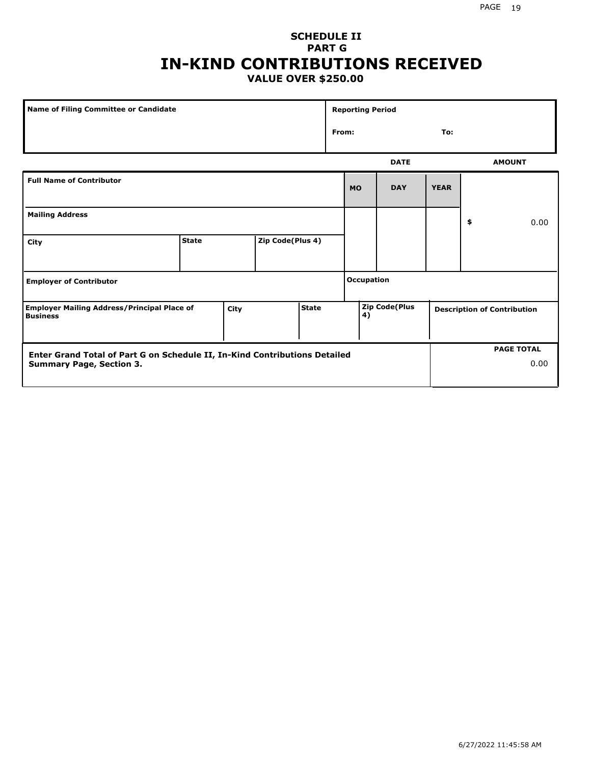#### **SCHEDULE II PART G IN-KIND CONTRIBUTIONS RECEIVED VALUE OVER \$250.00**

| Name of Filing Committee or Candidate                                                         |              |  |                  |                   | <b>Reporting Period</b>    |              |             |                                    |    |               |
|-----------------------------------------------------------------------------------------------|--------------|--|------------------|-------------------|----------------------------|--------------|-------------|------------------------------------|----|---------------|
|                                                                                               |              |  |                  |                   |                            | From:<br>To: |             |                                    |    |               |
|                                                                                               |              |  |                  |                   |                            |              | <b>DATE</b> |                                    |    | <b>AMOUNT</b> |
| <b>Full Name of Contributor</b>                                                               |              |  |                  |                   |                            | <b>MO</b>    | <b>DAY</b>  | <b>YEAR</b>                        |    |               |
| <b>Mailing Address</b>                                                                        |              |  |                  |                   |                            |              |             |                                    | \$ | 0.00          |
| City                                                                                          | <b>State</b> |  | Zip Code(Plus 4) |                   |                            |              |             |                                    |    |               |
| <b>Employer of Contributor</b>                                                                |              |  |                  | <b>Occupation</b> |                            |              |             |                                    |    |               |
| <b>State</b><br><b>Employer Mailing Address/Principal Place of</b><br>City<br><b>Business</b> |              |  |                  |                   | <b>Zip Code(Plus</b><br>4) |              |             | <b>Description of Contribution</b> |    |               |

| Enter Grand Total of Part G on Schedule II, In-Kind Contributions Detailed |  | <b>PAGE TOTAL</b> |
|----------------------------------------------------------------------------|--|-------------------|
| <b>Summary Page, Section 3.</b>                                            |  | 0.00              |
|                                                                            |  |                   |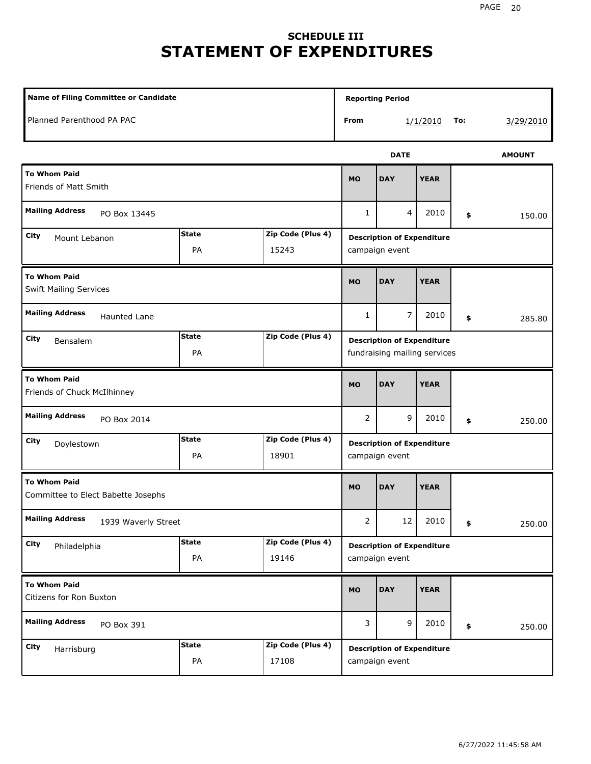# **SCHEDULE III STATEMENT OF EXPENDITURES**

| <b>Name of Filing Committee or Candidate</b>                              |                    |                            |                |                                                                   | <b>Reporting Period</b> |     |               |  |  |  |
|---------------------------------------------------------------------------|--------------------|----------------------------|----------------|-------------------------------------------------------------------|-------------------------|-----|---------------|--|--|--|
| Planned Parenthood PA PAC                                                 |                    |                            | From           |                                                                   | 1/1/2010                | To: | 3/29/2010     |  |  |  |
|                                                                           |                    |                            |                | <b>DATE</b>                                                       |                         |     | <b>AMOUNT</b> |  |  |  |
| <b>To Whom Paid</b><br><b>Friends of Matt Smith</b>                       |                    |                            | <b>MO</b>      | <b>DAY</b>                                                        | <b>YEAR</b>             |     |               |  |  |  |
| <b>Mailing Address</b><br>PO Box 13445                                    |                    |                            | $\mathbf{1}$   | $\overline{4}$                                                    | 2010                    | \$  | 150.00        |  |  |  |
| <b>State</b><br>Zip Code (Plus 4)<br>City<br>Mount Lebanon<br>PA<br>15243 |                    |                            |                | <b>Description of Expenditure</b><br>campaign event               |                         |     |               |  |  |  |
| <b>To Whom Paid</b><br><b>Swift Mailing Services</b>                      |                    |                            |                | <b>DAY</b>                                                        | <b>YEAR</b>             |     |               |  |  |  |
| <b>Mailing Address</b><br><b>Haunted Lane</b>                             | $\mathbf{1}$       | $\overline{7}$             | 2010           | \$                                                                | 285.80                  |     |               |  |  |  |
| Zip Code (Plus 4)<br><b>State</b><br><b>City</b><br>Bensalem<br>PA        |                    |                            |                | <b>Description of Expenditure</b><br>fundraising mailing services |                         |     |               |  |  |  |
| <b>To Whom Paid</b><br>Friends of Chuck McIlhinney                        |                    |                            | <b>MO</b>      | <b>DAY</b>                                                        | <b>YEAR</b>             |     |               |  |  |  |
| <b>Mailing Address</b><br>PO Box 2014                                     |                    |                            | 2              | 9                                                                 | 2010                    | \$  | 250.00        |  |  |  |
| City<br>Doylestown                                                        | <b>State</b><br>PA | Zip Code (Plus 4)<br>18901 |                | <b>Description of Expenditure</b><br>campaign event               |                         |     |               |  |  |  |
| <b>To Whom Paid</b><br>Committee to Elect Babette Josephs                 |                    |                            | <b>MO</b>      | <b>DAY</b>                                                        | <b>YEAR</b>             |     |               |  |  |  |
| <b>Mailing Address</b><br>1939 Waverly Street                             |                    |                            | $\overline{2}$ | 12                                                                | 2010                    | \$  | 250.00        |  |  |  |
| City<br>Philadelphia                                                      | <b>State</b><br>PA | Zip Code (Plus 4)<br>19146 |                | <b>Description of Expenditure</b><br>campaign event               |                         |     |               |  |  |  |
| <b>To Whom Paid</b><br>Citizens for Ron Buxton                            |                    |                            | <b>MO</b>      | <b>DAY</b>                                                        | <b>YEAR</b>             |     |               |  |  |  |
| <b>Mailing Address</b><br>PO Box 391                                      |                    |                            | 3              | 9                                                                 | 2010                    | \$  | 250.00        |  |  |  |
| City<br>Harrisburg                                                        | <b>State</b><br>PA | Zip Code (Plus 4)<br>17108 |                | <b>Description of Expenditure</b><br>campaign event               |                         |     |               |  |  |  |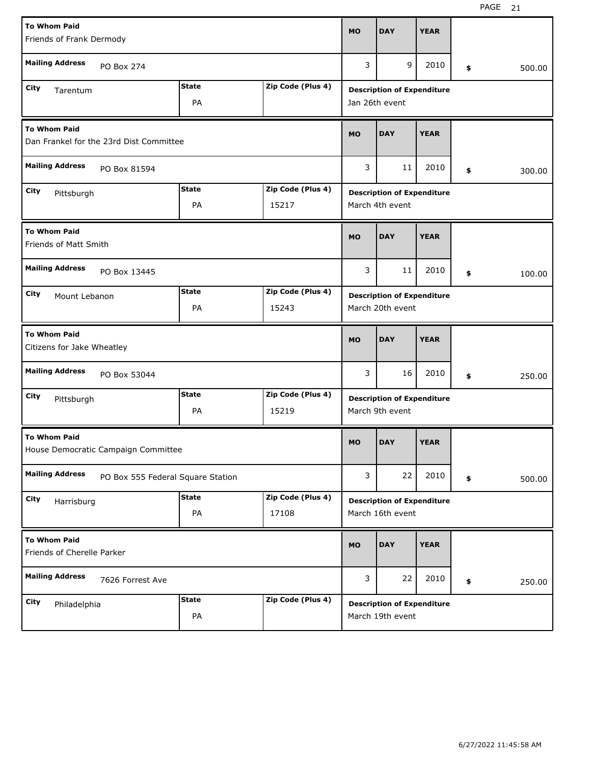| <b>To Whom Paid</b>                               |                                         |              |                   |           |                                   | <b>YEAR</b> |              |
|---------------------------------------------------|-----------------------------------------|--------------|-------------------|-----------|-----------------------------------|-------------|--------------|
| Friends of Frank Dermody                          |                                         |              |                   | <b>MO</b> | <b>DAY</b>                        |             |              |
| <b>Mailing Address</b>                            | PO Box 274                              |              |                   | 3         | 9                                 | 2010        | \$<br>500.00 |
| City<br>Tarentum                                  |                                         | <b>State</b> | Zip Code (Plus 4) |           | <b>Description of Expenditure</b> |             |              |
|                                                   |                                         | PA           |                   |           | Jan 26th event                    |             |              |
| <b>To Whom Paid</b>                               | Dan Frankel for the 23rd Dist Committee |              |                   | <b>MO</b> | <b>DAY</b>                        | <b>YEAR</b> |              |
| <b>Mailing Address</b><br>PO Box 81594            |                                         |              |                   |           | 11                                | 2010        | \$<br>300.00 |
| City<br>Pittsburgh                                |                                         | <b>State</b> | Zip Code (Plus 4) |           | <b>Description of Expenditure</b> |             |              |
|                                                   |                                         | PA           | 15217             |           | March 4th event                   |             |              |
| <b>To Whom Paid</b><br>Friends of Matt Smith      |                                         |              |                   |           | <b>DAY</b>                        | <b>YEAR</b> |              |
| <b>Mailing Address</b><br>PO Box 13445            |                                         |              |                   |           | 11                                | 2010        | \$<br>100.00 |
| City<br>Mount Lebanon                             |                                         | <b>State</b> | Zip Code (Plus 4) |           | <b>Description of Expenditure</b> |             |              |
|                                                   |                                         | PA           | 15243             |           | March 20th event                  |             |              |
| <b>To Whom Paid</b><br>Citizens for Jake Wheatley |                                         |              |                   |           |                                   |             |              |
|                                                   |                                         |              |                   | <b>MO</b> | <b>DAY</b>                        | <b>YEAR</b> |              |
| <b>Mailing Address</b>                            | PO Box 53044                            |              |                   | 3         | 16                                | 2010        | \$<br>250.00 |
| City<br>Pittsburgh                                |                                         | <b>State</b> | Zip Code (Plus 4) |           | <b>Description of Expenditure</b> |             |              |
|                                                   |                                         | PA           | 15219             |           | March 9th event                   |             |              |
| <b>To Whom Paid</b>                               | House Democratic Campaign Committee     |              |                   | <b>MO</b> | <b>DAY</b>                        | <b>YEAR</b> |              |
| <b>Mailing Address</b>                            | PO Box 555 Federal Square Station       |              |                   | 3         | 22                                | 2010        | \$<br>500.00 |
| City<br>Harrisburg                                |                                         | <b>State</b> | Zip Code (Plus 4) |           | <b>Description of Expenditure</b> |             |              |
|                                                   |                                         | PA           | 17108             |           | March 16th event                  |             |              |
| <b>To Whom Paid</b><br>Friends of Cherelle Parker |                                         |              |                   | <b>MO</b> | <b>DAY</b>                        | <b>YEAR</b> |              |
| <b>Mailing Address</b>                            | 7626 Forrest Ave                        |              |                   | 3         | 22                                | 2010        | \$<br>250.00 |
| City<br>Philadelphia                              |                                         | <b>State</b> | Zip Code (Plus 4) |           | <b>Description of Expenditure</b> |             |              |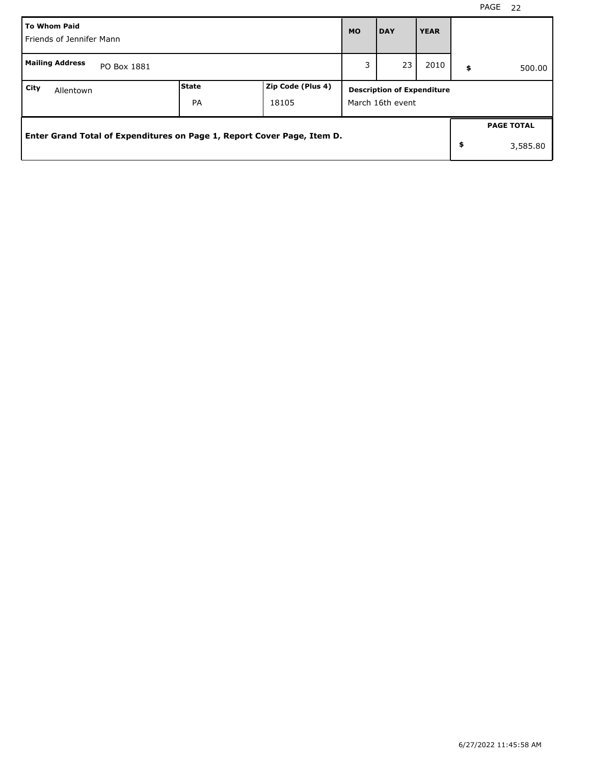|      | <b>To Whom Paid</b><br>Friends of Jennifer Mann                         |   |    |      |    | <b>YEAR</b>                                           |    |                   |  |  |
|------|-------------------------------------------------------------------------|---|----|------|----|-------------------------------------------------------|----|-------------------|--|--|
|      | <b>Mailing Address</b><br>PO Box 1881                                   | 3 | 23 | 2010 | \$ | 500.00                                                |    |                   |  |  |
| City | Zip Code (Plus 4)<br>l State<br>Allentown<br><b>PA</b><br>18105         |   |    |      |    | <b>Description of Expenditure</b><br>March 16th event |    |                   |  |  |
|      |                                                                         |   |    |      |    |                                                       |    | <b>PAGE TOTAL</b> |  |  |
|      | Enter Grand Total of Expenditures on Page 1, Report Cover Page, Item D. |   |    |      |    |                                                       | \$ | 3,585.80          |  |  |